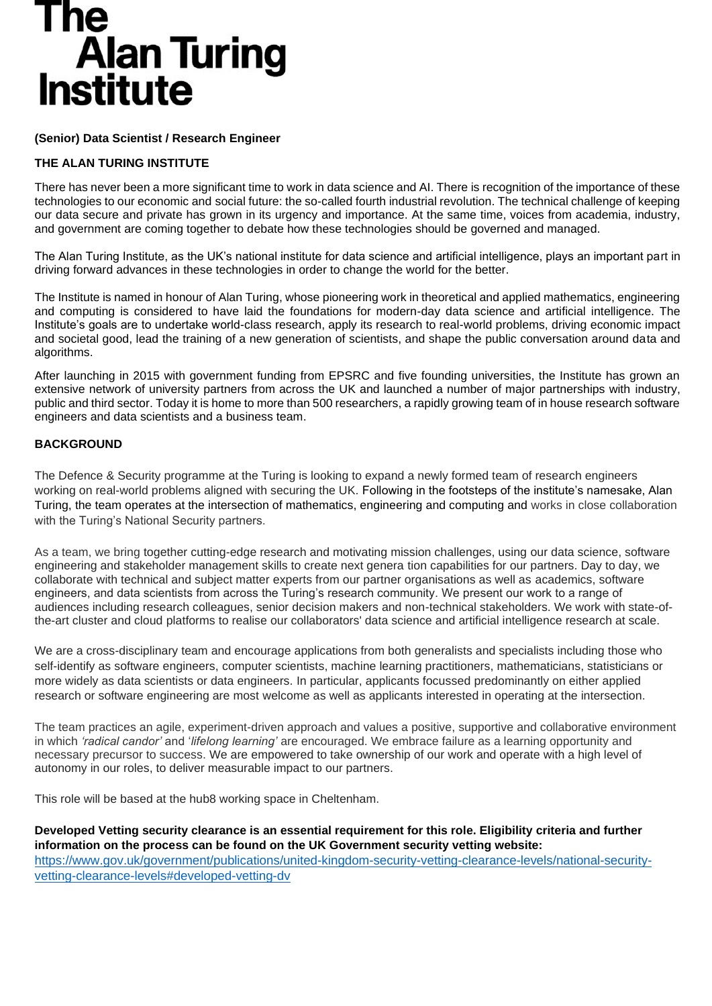## **The** Alan Turing<br>Institute

#### **(Senior) Data Scientist / Research Engineer**

#### **THE ALAN TURING INSTITUTE**

There has never been a more significant time to work in data science and AI. There is recognition of the importance of these technologies to our economic and social future: the so-called fourth industrial revolution. The technical challenge of keeping our data secure and private has grown in its urgency and importance. At the same time, voices from academia, industry, and government are coming together to debate how these technologies should be governed and managed.

The Alan Turing Institute, as the UK's national institute for data science and artificial intelligence, plays an important part in driving forward advances in these technologies in order to change the world for the better.

The Institute is named in honour of Alan Turing, whose pioneering work in theoretical and applied mathematics, engineering and computing is considered to have laid the foundations for modern-day data science and artificial intelligence. The Institute's goals are to undertake world-class research, apply its research to real-world problems, driving economic impact and societal good, lead the training of a new generation of scientists, and shape the public conversation around data and algorithms.

After launching in 2015 with government funding from EPSRC and five founding universities, the Institute has grown an extensive network of university partners from across the UK and launched a number of major partnerships with industry, public and third sector. Today it is home to more than 500 researchers, a rapidly growing team of in house research software engineers and data scientists and a business team.

#### **BACKGROUND**

The Defence & Security programme at the Turing is looking to expand a newly formed team of research engineers working on real-world problems aligned with securing the UK. Following in the footsteps of the institute's namesake, Alan Turing, the team operates at the intersection of mathematics, engineering and computing and works in close collaboration with the Turing's National Security partners.

As a team, we bring together cutting-edge research and motivating mission challenges, using our data science, software engineering and stakeholder management skills to create next genera tion capabilities for our partners. Day to day, we collaborate with technical and subject matter experts from our partner organisations as well as academics, software engineers, and data scientists from across the Turing's research community. We present our work to a range of audiences including research colleagues, senior decision makers and non-technical stakeholders. We work with state-ofthe-art cluster and cloud platforms to realise our collaborators' data science and artificial intelligence research at scale.

We are a cross-disciplinary team and encourage applications from both generalists and specialists including those who self-identify as software engineers, computer scientists, machine learning practitioners, mathematicians, statisticians or more widely as data scientists or data engineers. In particular, applicants focussed predominantly on either applied research or software engineering are most welcome as well as applicants interested in operating at the intersection.

The team practices an agile, experiment-driven approach and values a positive, supportive and collaborative environment in which *'radical candor'* and '*lifelong learning'* are encouraged. We embrace failure as a learning opportunity and necessary precursor to success. We are empowered to take ownership of our work and operate with a high level of autonomy in our roles, to deliver measurable impact to our partners.

This role will be based at the hub8 working space in Cheltenham.

**Developed Vetting security clearance is an essential requirement for this role. Eligibility criteria and further information on the process can be found on the UK Government security vetting website:**  [https://www.gov.uk/government/publications/united-kingdom-security-vetting-clearance-levels/national-security](https://www.gov.uk/government/publications/united-kingdom-security-vetting-clearance-levels/national-security-vetting-clearance-levels#developed-vetting-dv)[vetting-clearance-levels#developed-vetting-dv](https://www.gov.uk/government/publications/united-kingdom-security-vetting-clearance-levels/national-security-vetting-clearance-levels#developed-vetting-dv)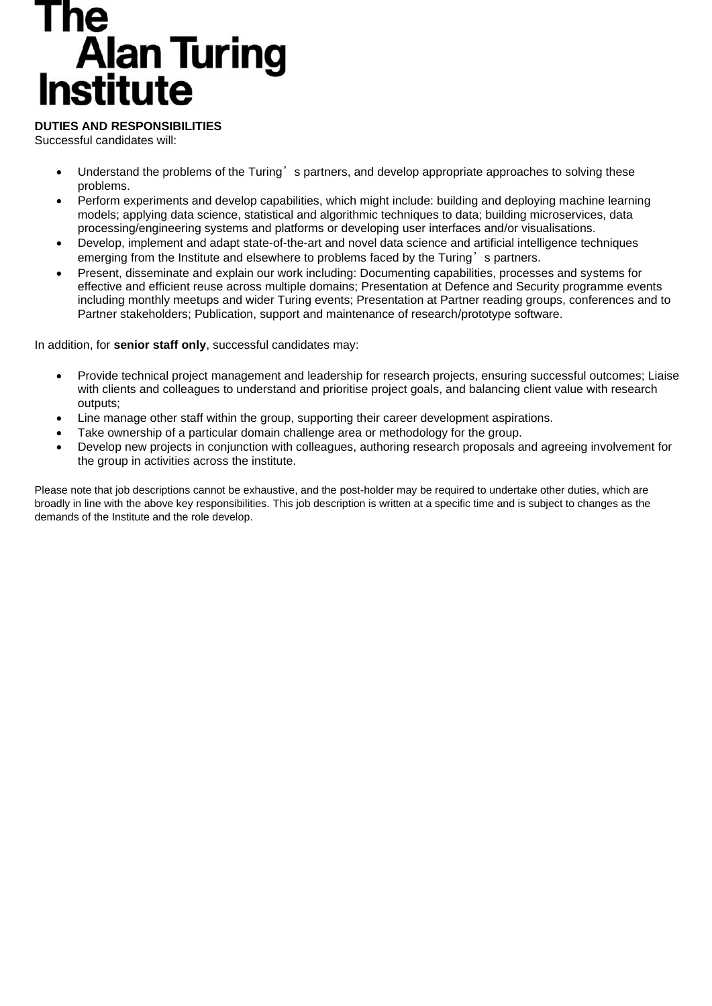## The **Alan Turing**<br>Institute

#### **DUTIES AND RESPONSIBILITIES**

Successful candidates will:

- Understand the problems of the Turing's partners, and develop appropriate approaches to solving these problems.
- Perform experiments and develop capabilities, which might include: building and deploying machine learning models; applying data science, statistical and algorithmic techniques to data; building microservices, data processing/engineering systems and platforms or developing user interfaces and/or visualisations.
- Develop, implement and adapt state-of-the-art and novel data science and artificial intelligence techniques emerging from the Institute and elsewhere to problems faced by the Turing's partners.
- Present, disseminate and explain our work including: Documenting capabilities, processes and systems for effective and efficient reuse across multiple domains; Presentation at Defence and Security programme events including monthly meetups and wider Turing events; Presentation at Partner reading groups, conferences and to Partner stakeholders; Publication, support and maintenance of research/prototype software.

In addition, for **senior staff only**, successful candidates may:

- Provide technical project management and leadership for research projects, ensuring successful outcomes; Liaise with clients and colleagues to understand and prioritise project goals, and balancing client value with research outputs;
- Line manage other staff within the group, supporting their career development aspirations.
- Take ownership of a particular domain challenge area or methodology for the group.
- Develop new projects in conjunction with colleagues, authoring research proposals and agreeing involvement for the group in activities across the institute.

Please note that job descriptions cannot be exhaustive, and the post-holder may be required to undertake other duties, which are broadly in line with the above key responsibilities. This job description is written at a specific time and is subject to changes as the demands of the Institute and the role develop.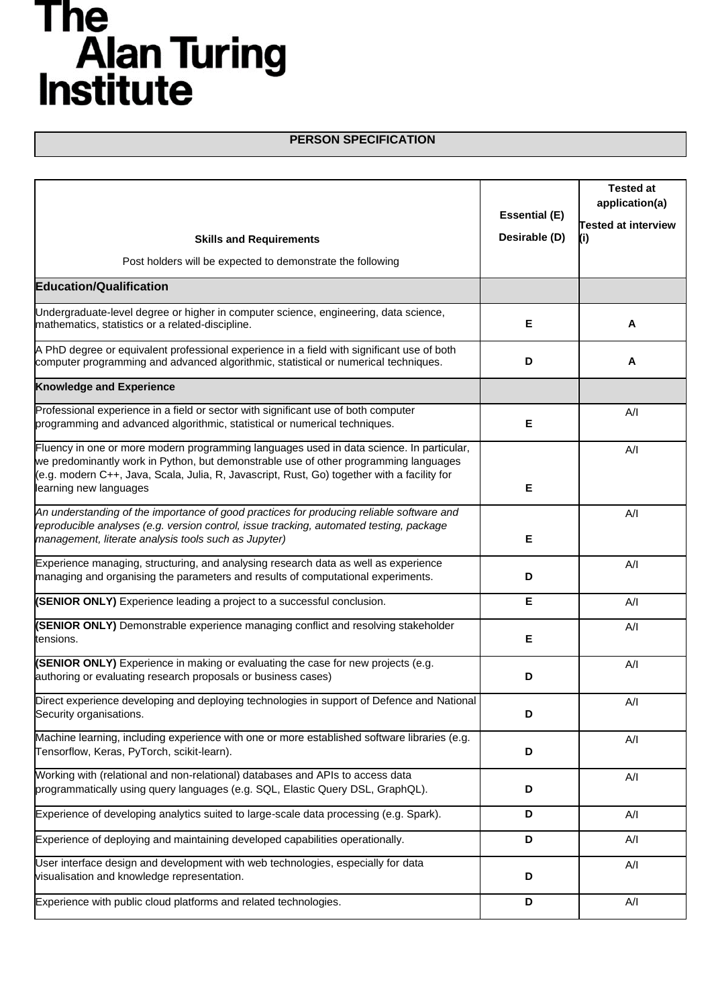## The<br>Alan Turing<br>Institute

#### **PERSON SPECIFICATION**

| <b>Skills and Requirements</b><br>Post holders will be expected to demonstrate the following                                                                                                                                                                                                              | <b>Essential (E)</b><br>Desirable (D) | <b>Tested at</b><br>application(a)<br><b>Tested at interview</b><br>(i) |
|-----------------------------------------------------------------------------------------------------------------------------------------------------------------------------------------------------------------------------------------------------------------------------------------------------------|---------------------------------------|-------------------------------------------------------------------------|
|                                                                                                                                                                                                                                                                                                           |                                       |                                                                         |
| <b>Education/Qualification</b>                                                                                                                                                                                                                                                                            |                                       |                                                                         |
| Undergraduate-level degree or higher in computer science, engineering, data science,<br>mathematics, statistics or a related-discipline.                                                                                                                                                                  | Е                                     | A                                                                       |
| A PhD degree or equivalent professional experience in a field with significant use of both<br>computer programming and advanced algorithmic, statistical or numerical techniques.                                                                                                                         | D                                     | A                                                                       |
| <b>Knowledge and Experience</b>                                                                                                                                                                                                                                                                           |                                       |                                                                         |
| Professional experience in a field or sector with significant use of both computer<br>programming and advanced algorithmic, statistical or numerical techniques.                                                                                                                                          | Е                                     | A/I                                                                     |
| Fluency in one or more modern programming languages used in data science. In particular,<br>we predominantly work in Python, but demonstrable use of other programming languages<br>(e.g. modern C++, Java, Scala, Julia, R, Javascript, Rust, Go) together with a facility for<br>learning new languages | Е                                     | A/I                                                                     |
| An understanding of the importance of good practices for producing reliable software and<br>reproducible analyses (e.g. version control, issue tracking, automated testing, package<br>management, literate analysis tools such as Jupyter)                                                               | Е                                     | A/I                                                                     |
| Experience managing, structuring, and analysing research data as well as experience<br>managing and organising the parameters and results of computational experiments.                                                                                                                                   | D                                     | A/I                                                                     |
| (SENIOR ONLY) Experience leading a project to a successful conclusion.                                                                                                                                                                                                                                    | Е                                     | A/I                                                                     |
| (SENIOR ONLY) Demonstrable experience managing conflict and resolving stakeholder<br>tensions.                                                                                                                                                                                                            | Е                                     | A/I                                                                     |
| (SENIOR ONLY) Experience in making or evaluating the case for new projects (e.g.<br>authoring or evaluating research proposals or business cases)                                                                                                                                                         | D                                     | A/I                                                                     |
| Direct experience developing and deploying technologies in support of Defence and National<br>Security organisations.                                                                                                                                                                                     | D                                     | A/I                                                                     |
| Machine learning, including experience with one or more established software libraries (e.g.<br>Tensorflow, Keras, PyTorch, scikit-learn).                                                                                                                                                                | D                                     | A/I                                                                     |
| Working with (relational and non-relational) databases and APIs to access data<br>programmatically using query languages (e.g. SQL, Elastic Query DSL, GraphQL).                                                                                                                                          | D                                     | A/I                                                                     |
| Experience of developing analytics suited to large-scale data processing (e.g. Spark).                                                                                                                                                                                                                    | D                                     | A/I                                                                     |
| Experience of deploying and maintaining developed capabilities operationally.                                                                                                                                                                                                                             | D                                     | A/I                                                                     |
| User interface design and development with web technologies, especially for data<br>visualisation and knowledge representation.                                                                                                                                                                           | D                                     | A/I                                                                     |
| Experience with public cloud platforms and related technologies.                                                                                                                                                                                                                                          | D                                     | A/I                                                                     |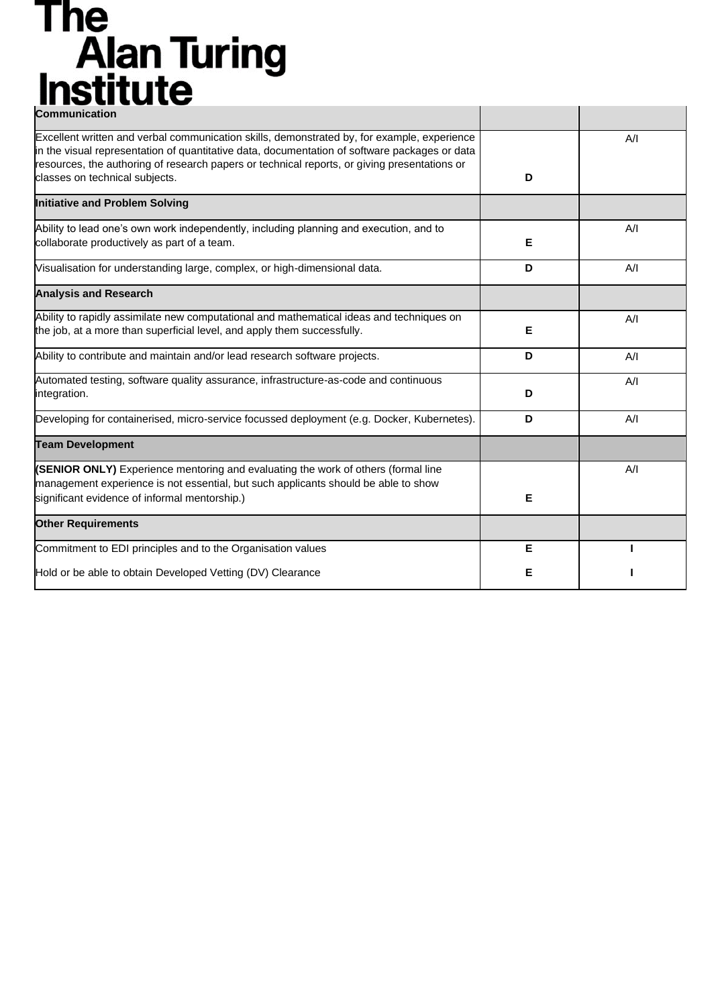# **The<br>Alan Turing<br>Institute**

| <b>Communication</b>                                                                                                                                                                                                                                                                                                           |   |     |
|--------------------------------------------------------------------------------------------------------------------------------------------------------------------------------------------------------------------------------------------------------------------------------------------------------------------------------|---|-----|
| Excellent written and verbal communication skills, demonstrated by, for example, experience<br>in the visual representation of quantitative data, documentation of software packages or data<br>resources, the authoring of research papers or technical reports, or giving presentations or<br>classes on technical subjects. | D | A/I |
| <b>Initiative and Problem Solving</b>                                                                                                                                                                                                                                                                                          |   |     |
| Ability to lead one's own work independently, including planning and execution, and to<br>collaborate productively as part of a team.                                                                                                                                                                                          | E | A/I |
| Visualisation for understanding large, complex, or high-dimensional data.                                                                                                                                                                                                                                                      | D | A/I |
| <b>Analysis and Research</b>                                                                                                                                                                                                                                                                                                   |   |     |
| Ability to rapidly assimilate new computational and mathematical ideas and techniques on<br>the job, at a more than superficial level, and apply them successfully.                                                                                                                                                            | Е | A/I |
| Ability to contribute and maintain and/or lead research software projects.                                                                                                                                                                                                                                                     | D | A/I |
| Automated testing, software quality assurance, infrastructure-as-code and continuous<br>integration.                                                                                                                                                                                                                           | D | A/I |
| Developing for containerised, micro-service focussed deployment (e.g. Docker, Kubernetes).                                                                                                                                                                                                                                     | D | A/I |
| <b>Team Development</b>                                                                                                                                                                                                                                                                                                        |   |     |
| (SENIOR ONLY) Experience mentoring and evaluating the work of others (formal line<br>management experience is not essential, but such applicants should be able to show<br>significant evidence of informal mentorship.)                                                                                                       | Е | A/I |
| <b>Other Requirements</b>                                                                                                                                                                                                                                                                                                      |   |     |
| Commitment to EDI principles and to the Organisation values                                                                                                                                                                                                                                                                    | E |     |
| Hold or be able to obtain Developed Vetting (DV) Clearance                                                                                                                                                                                                                                                                     | Е |     |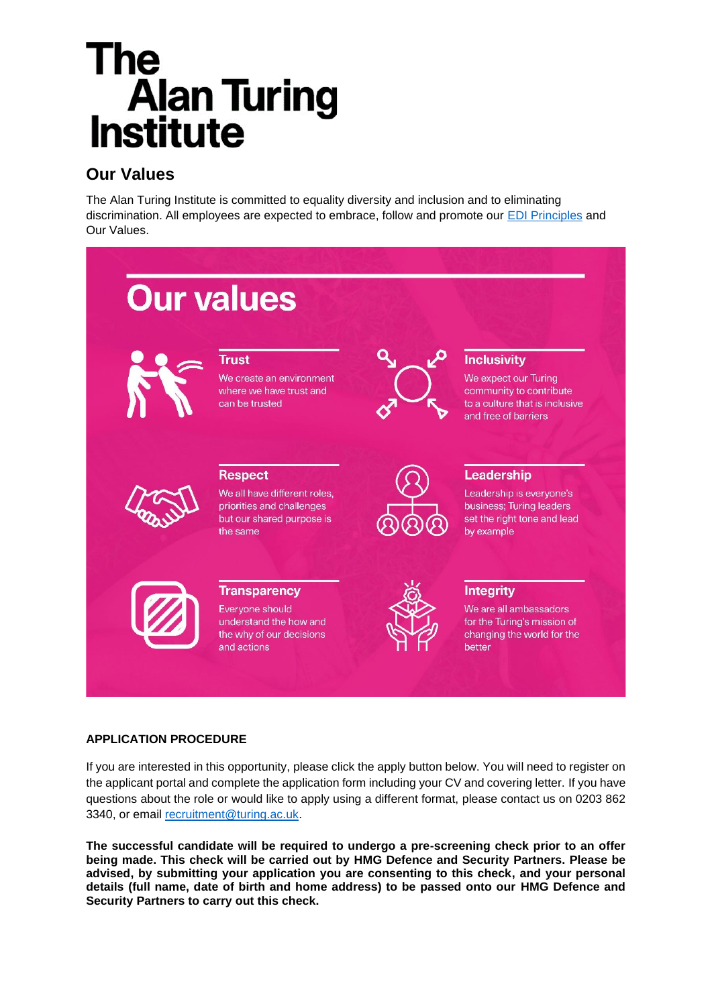## The **Alan Turing**<br>Institute

### **Our Values**

The Alan Turing Institute is committed to equality diversity and inclusion and to eliminating discrimination. All employees are expected to embrace, follow and promote our [EDI Principles](https://www.turing.ac.uk/about-us/equality-diversity-and-inclusion) and Our Values.



#### **APPLICATION PROCEDURE**

If you are interested in this opportunity, please click the apply button below. You will need to register on the applicant portal and complete the application form including your CV and covering letter. If you have questions about the role or would like to apply using a different format, please contact us on 0203 862 3340, or email [recruitment@turing.ac.uk.](mailto:recruitment@turing.ac.uk)

**The successful candidate will be required to undergo a pre-screening check prior to an offer being made. This check will be carried out by HMG Defence and Security Partners. Please be advised, by submitting your application you are consenting to this check, and your personal details (full name, date of birth and home address) to be passed onto our HMG Defence and Security Partners to carry out this check.**